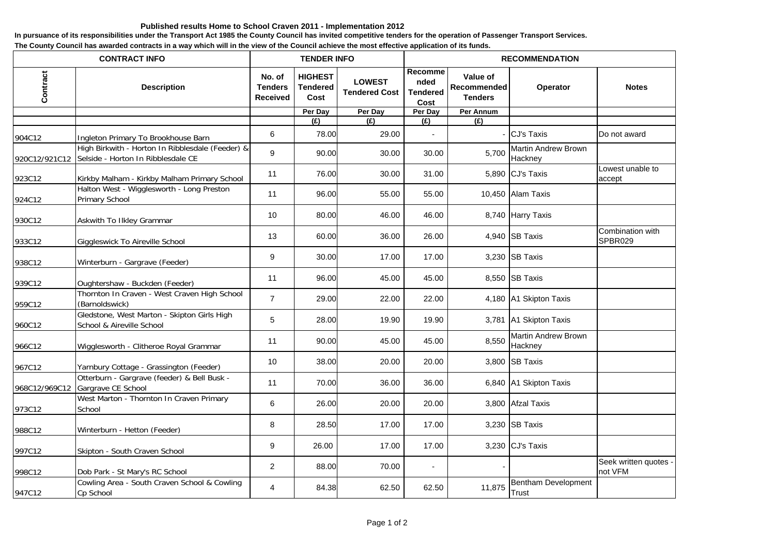## **Published results Home to School Craven 2011 - Implementation 2012**

**In pursuance of its responsibilities under the Transport Act 1985 the County Council has invited competitive tenders for the operation of Passenger Transport Services.**

**The County Council has awarded contracts in a way which will in the view of the Council achieve the most effective application of its funds.**

| <b>CONTRACT INFO</b> |                                                                                        | <b>TENDER INFO</b>                   |                                           |                                       | <b>RECOMMENDATION</b>                      |                                           |                                       |                                  |
|----------------------|----------------------------------------------------------------------------------------|--------------------------------------|-------------------------------------------|---------------------------------------|--------------------------------------------|-------------------------------------------|---------------------------------------|----------------------------------|
| Contract             | <b>Description</b>                                                                     | No. of<br><b>Tenders</b><br>Received | <b>HIGHEST</b><br><b>Tendered</b><br>Cost | <b>LOWEST</b><br><b>Tendered Cost</b> | Recomme<br>nded<br><b>Tendered</b><br>Cost | Value of<br>Recommended<br><b>Tenders</b> | Operator                              | <b>Notes</b>                     |
|                      |                                                                                        |                                      | Per Day                                   | Per Day                               | Per Day                                    | Per Annum                                 |                                       |                                  |
|                      |                                                                                        |                                      | (E)                                       | (E)                                   | (E)                                        | (E)                                       |                                       |                                  |
| 904C12               | Ingleton Primary To Brookhouse Barn                                                    | 6                                    | 78.00                                     | 29.00                                 |                                            |                                           | - <b>I</b> CJ's Taxis                 | Do not award                     |
| 920C12/921C12        | High Birkwith - Horton In Ribblesdale (Feeder) &<br>Selside - Horton In Ribblesdale CE | 9                                    | 90.00                                     | 30.00                                 | 30.00                                      | 5,700                                     | Martin Andrew Brown<br>Hackney        |                                  |
| 923C12               | Kirkby Malham - Kirkby Malham Primary School                                           | 11                                   | 76.00                                     | 30.00                                 | 31.00                                      |                                           | 5,890 CJ's Taxis                      | Lowest unable to<br>accept       |
| 924C12               | Halton West - Wigglesworth - Long Preston<br>Primary School                            | 11                                   | 96.00                                     | 55.00                                 | 55.00                                      |                                           | 10,450 Alam Taxis                     |                                  |
| 930C12               | Askwith To Ilkley Grammar                                                              | 10                                   | 80.00                                     | 46.00                                 | 46.00                                      |                                           | 8,740 Harry Taxis                     |                                  |
| 933C12               | Giggleswick To Aireville School                                                        | 13                                   | 60.00                                     | 36.00                                 | 26.00                                      |                                           | 4,940 SB Taxis                        | Combination with<br>SPBR029      |
| 938C12               | Winterburn - Gargrave (Feeder)                                                         | 9                                    | 30.00                                     | 17.00                                 | 17.00                                      |                                           | 3,230 SB Taxis                        |                                  |
| 939C12               | Oughtershaw - Buckden (Feeder)                                                         | 11                                   | 96.00                                     | 45.00                                 | 45.00                                      |                                           | 8,550 SB Taxis                        |                                  |
| 959C12               | Thornton In Craven - West Craven High School<br>(Barnoldswick)                         | $\overline{7}$                       | 29.00                                     | 22.00                                 | 22.00                                      |                                           | 4,180 A1 Skipton Taxis                |                                  |
| 960C12               | Gledstone, West Marton - Skipton Girls High<br>School & Aireville School               | 5                                    | 28.00                                     | 19.90                                 | 19.90                                      |                                           | 3,781 A1 Skipton Taxis                |                                  |
| 966C12               | Wigglesworth - Clitheroe Royal Grammar                                                 | 11                                   | 90.00                                     | 45.00                                 | 45.00                                      | 8,550                                     | <b>Martin Andrew Brown</b><br>Hackney |                                  |
| 967C12               | Yarnbury Cottage - Grassington (Feeder)                                                | 10                                   | 38.00                                     | 20.00                                 | 20.00                                      |                                           | 3,800 SB Taxis                        |                                  |
| 968C12/969C12        | Otterburn - Gargrave (feeder) & Bell Busk -<br>Gargrave CE School                      | 11                                   | 70.00                                     | 36.00                                 | 36.00                                      |                                           | 6,840 A1 Skipton Taxis                |                                  |
| 973C12               | West Marton - Thornton In Craven Primary<br>School                                     | 6                                    | 26.00                                     | 20.00                                 | 20.00                                      |                                           | 3,800 Afzal Taxis                     |                                  |
| 988C12               | Winterburn - Hetton (Feeder)                                                           | 8                                    | 28.50                                     | 17.00                                 | 17.00                                      |                                           | 3,230 SB Taxis                        |                                  |
| 997C12               | Skipton - South Craven School                                                          | 9                                    | 26.00                                     | 17.00                                 | 17.00                                      |                                           | 3,230 CJ's Taxis                      |                                  |
| 998C12               | Dob Park - St Mary's RC School                                                         | 2                                    | 88.00                                     | 70.00                                 | $\blacksquare$                             |                                           |                                       | Seek written quotes -<br>not VFM |
| 947C12               | Cowling Area - South Craven School & Cowling<br>Cp School                              | $\overline{4}$                       | 84.38                                     | 62.50                                 | 62.50                                      | 11,875                                    | Bentham Development<br><b>Trust</b>   |                                  |